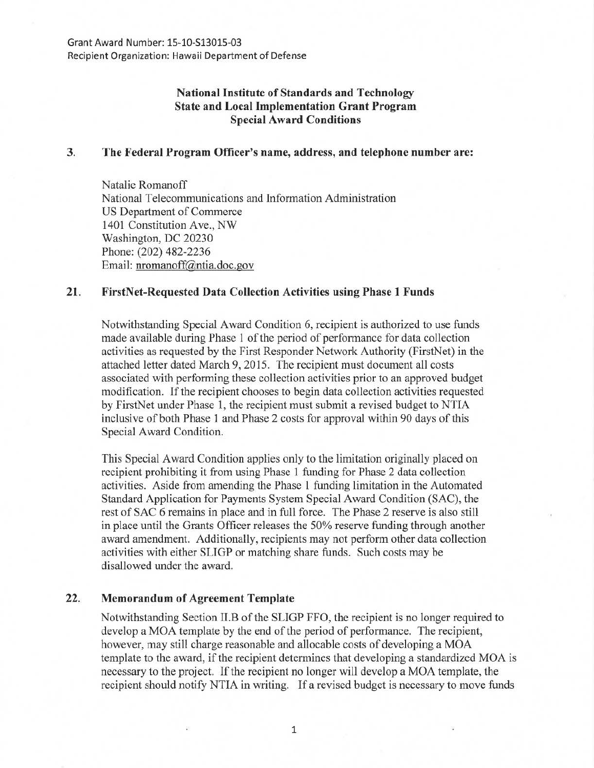# National Institute of Standards and Technology State and Local Implementation Grant Program Special Award Conditions

### 3. The Federal Program Officer's name, address, and telephone number are:

Natalie Romanoff National Telecommunications and Information Administration US Department of Commerce 1401 Constitution Ave., NW Washington, DC 20230 Phone: (202) 482-2236 Email: nromanoff@ntia.doc.gov

## 21. FirstNet-Requested Data Collection Activities using Phase 1 Funds

Notwithstanding Special Award Condition 6, recipient is authorized to use funds made available during Phase 1 of the period of performance for data collection activities as requested by the First Responder Network Authority (FirstNet) in the attached letter dated March 9, 2015. The recipient must document all costs associated with performing these collection activities prior to an approved budget modification. If the recipient chooses to begin data collection activities requested by FirstNet under Phase 1, the recipient must submit a revised budget to NTIA inclusive of both Phase 1 and Phase 2 costs for approval within 90 days of this Special Award Condition.

This Special Award Condition applies only to the limitation originally placed on recipient prohibiting it from using Phase 1 ftmding for Phase 2 data collection activities. Aside from amending the Phase 1 funding limitation in the Automated Standard Application for Payments System Special Award Condition (SAC), the rest of SAC 6 remains in place and in full force. The Phase 2 reserve is also still in place until the Grants Officer releases the 50% reserve funding through another award amendment. Additionally, recipients may not perform other data collection activities with either SLIGP or matching share funds. Such costs may be disallowed under the award.

### 22. Memorandum of Agreement Template

Notwithstanding Section II.B of the SLIGP FFO, the recipient is no longer required to develop a MOA template by the end of the period of performance. The recipient, however, may still charge reasonable and allocable costs of developing a MOA template to the award, if the recipient determines that developing a standardized MOA is necessary to the project. If the recipient no longer will develop a MOA template, the recipient should notify NTIA in writing. If a revised budget is necessary to move funds

1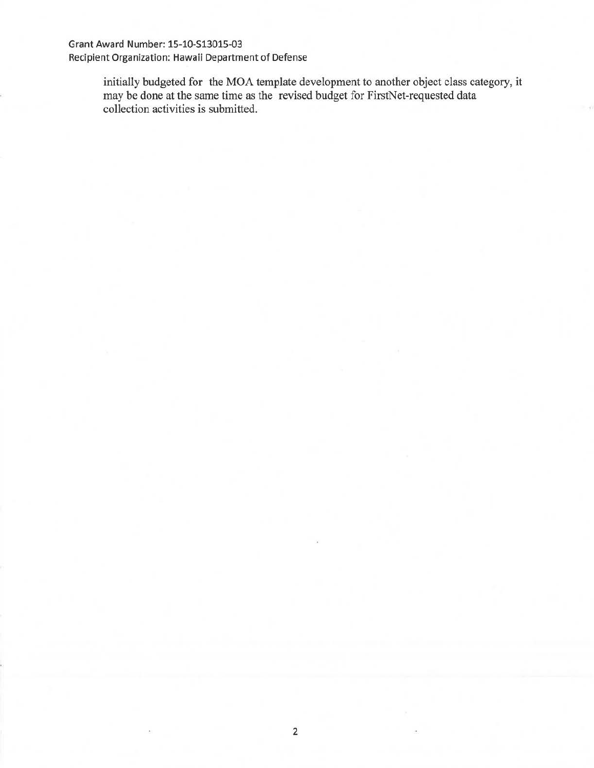# Grant Award Number: 15-1Q-S13015-03 Recipient Organization: Hawaii Department of Defense

initially budgeted for the MOA template development to another object class category, it may be done at the same time as the revised budget for FirstNet-requested data collection activities is submitted.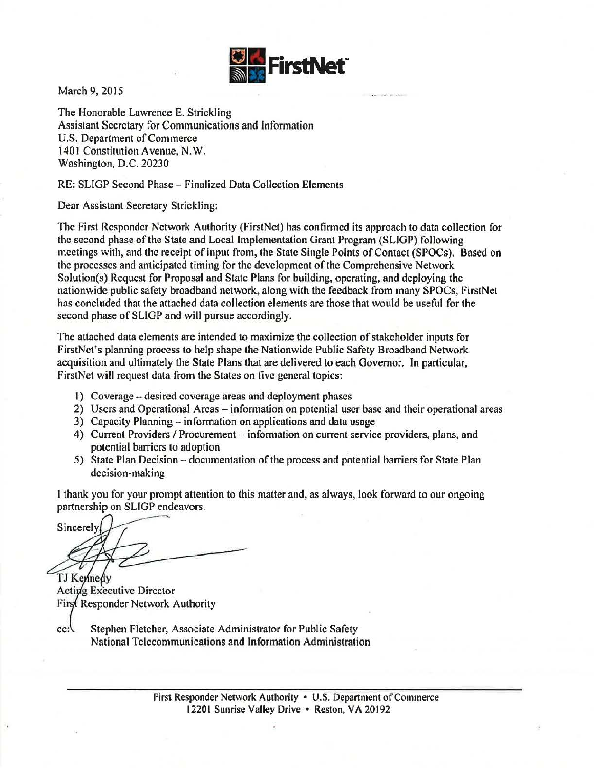

March 9, 2015

The Honorable Lawrence E. Strickling Assistant Secretary for Communications and Information U.S. Department of Commerce 1401 Constitution Avenue, N. W. Washington, D.C. 20230

RE: SLIGP Second Phase- finalized Data Collection Elements

Dear Assistant Secretary Strickling:

The First Responder Network Authority (FirstNet) has confirmed its approach to data collection for the second phase of the State and Locallmp1ementation Grant Program (SLIGP) following meetings with, and the receipt of input from, the State Single Points of Contact (SPOCs). Based on the processes and anticipated timing for the development of the Comprehensive Network Solution(s) Request for Proposal and State Plans for building, operating, and deploying the nationwide public safety broadband network, along with the feedback from many SPOCs, FirstNet has concluded that the attached data collection elements are those that would be useful for the second phase of SLIGP and will pursue accordingly.

The attached data elements are intended to maximize the collection of stakeholder inputs for FirstNet's planning process to help shape the Nationwide Public Safety Broadband Network acquisition and ultimately the State Plans that are delivered to each Governor. In particular, FirstNet will request data from the States on five general topics:

- 1) Coverage -desired coverage areas and deployment phases
- 2) Users and Operational Areas- information on potential user base and their operational areas
- 3) Capacity Planning- information on applications and data usage
- 4) Current Providers / Procurement information on current service providers, plans, and potential barriers to adoption
- 5) State Plan Decision documentation of the process and potential barriers for State Plan decision-making

I thank you for your prompt attention to this matter and, as always, look forward to our ongoing partnership on SLIGP endeavors.

Sincerely

TJ Kennedy Acting Executive Director First Responder Network Authority

 $cc$ : Stephen Fletcher, Associate Administrator for Public Safety National Telecommunications and Information Administration